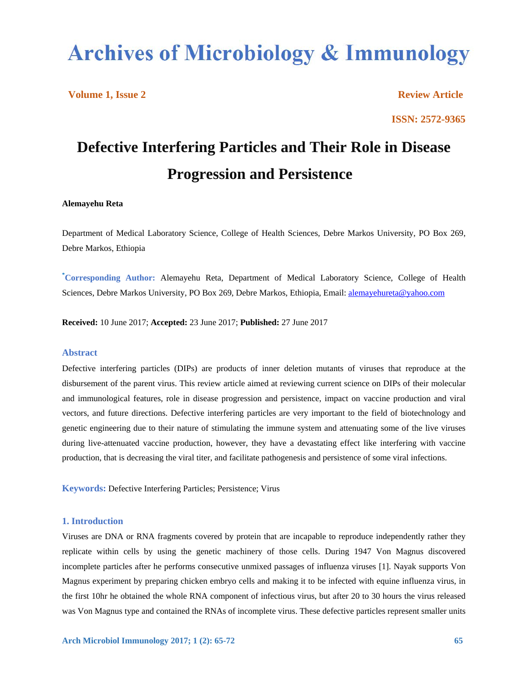# **Archives of Microbiology & Immunology**

**Volume 1, Issue 2** Review Article

**ISSN: 2572-9365**

# **Defective Interfering Particles and Their Role in Disease Progression and Persistence**

# **Alemayehu Reta**

Department of Medical Laboratory Science, College of Health Sciences, Debre Markos University, PO Box 269, Debre Markos, Ethiopia

**\* Corresponding Author:** Alemayehu Reta, Department of Medical Laboratory Science, College of Health Sciences, Debre Markos University, PO Box 269, Debre Markos, Ethiopia, Email: alemayehureta@yahoo.com

**Received:** 10 June 2017; **Accepted:** 23 June 2017; **Published:** 27 June 2017

#### **Abstract**

Defective interfering particles (DIPs) are products of inner deletion mutants of viruses that reproduce at the disbursement of the parent virus. This review article aimed at reviewing current science on DIPs of their molecular and immunological features, role in disease progression and persistence, impact on vaccine production and viral vectors, and future directions. Defective interfering particles are very important to the field of biotechnology and genetic engineering due to their nature of stimulating the immune system and attenuating some of the live viruses during live-attenuated vaccine production, however, they have a devastating effect like interfering with vaccine production, that is decreasing the viral titer, and facilitate pathogenesis and persistence of some viral infections.

**Keywords:** Defective Interfering Particles; Persistence; Virus

# **1. Introduction**

Viruses are DNA or RNA fragments covered by protein that are incapable to reproduce independently rather they replicate within cells by using the genetic machinery of those cells. During 1947 Von Magnus discovered incomplete particles after he performs consecutive unmixed passages of influenza viruses [1]. Nayak supports Von Magnus experiment by preparing chicken embryo cells and making it to be infected with equine influenza virus, in the first 10hr he obtained the whole RNA component of infectious virus, but after 20 to 30 hours the virus released was Von Magnus type and contained the RNAs of incomplete virus. These defective particles represent smaller units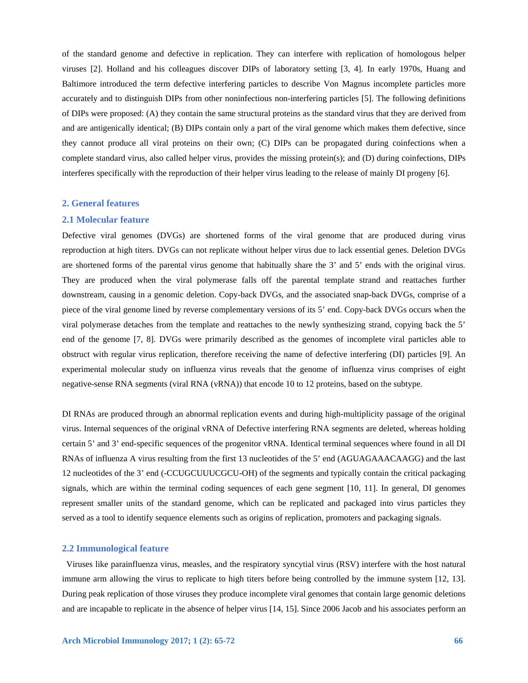of the standard genome and defective in replication. They can interfere with replication of homologous helper viruses [2]. Holland and his colleagues discover DIPs of laboratory setting [3, 4]. In early 1970s, Huang and Baltimore introduced the term defective interfering particles to describe Von Magnus incomplete particles more accurately and to distinguish DIPs from other noninfectious non-interfering particles [5]. The following definitions of DIPs were proposed: (A) they contain the same structural proteins as the standard virus that they are derived from and are antigenically identical; (B) DIPs contain only a part of the viral genome which makes them defective, since they cannot produce all viral proteins on their own; (C) DIPs can be propagated during coinfections when a complete standard virus, also called helper virus, provides the missing protein(s); and (D) during coinfections, DIPs interferes specifically with the reproduction of their helper virus leading to the release of mainly DI progeny [6].

#### **2. General features**

# **2.1 Molecular feature**

Defective viral genomes (DVGs) are shortened forms of the viral genome that are produced during virus reproduction at high titers. DVGs can not replicate without helper virus due to lack essential genes. Deletion DVGs are shortened forms of the parental virus genome that habitually share the 3' and 5' ends with the original virus. They are produced when the viral polymerase falls off the parental template strand and reattaches further downstream, causing in a genomic deletion. Copy-back DVGs, and the associated snap-back DVGs, comprise of a piece of the viral genome lined by reverse complementary versions of its 5' end. Copy-back DVGs occurs when the viral polymerase detaches from the template and reattaches to the newly synthesizing strand, copying back the 5' end of the genome [7, 8]. DVGs were primarily described as the genomes of incomplete viral particles able to obstruct with regular virus replication, therefore receiving the name of defective interfering (DI) particles [9]. An experimental molecular study on influenza virus reveals that the genome of influenza virus comprises of eight negative-sense RNA segments (viral RNA (vRNA)) that encode 10 to 12 proteins, based on the subtype.

DI RNAs are produced through an abnormal replication events and during high-multiplicity passage of the original virus. Internal sequences of the original vRNA of Defective interfering RNA segments are deleted, whereas holding certain 5' and 3' end-specific sequences of the progenitor vRNA. Identical terminal sequences where found in all DI RNAs of influenza A virus resulting from the first 13 nucleotides of the 5' end (AGUAGAAACAAGG) and the last 12 nucleotides of the 3' end (-CCUGCUUUCGCU-OH) of the segments and typically contain the critical packaging signals, which are within the terminal coding sequences of each gene segment [10, 11]. In general, DI genomes represent smaller units of the standard genome, which can be replicated and packaged into virus particles they served as a tool to identify sequence elements such as origins of replication, promoters and packaging signals.

#### **2.2 Immunological feature**

 Viruses like parainfluenza virus, measles, and the respiratory syncytial virus (RSV) interfere with the host natural immune arm allowing the virus to replicate to high titers before being controlled by the immune system [12, 13]. During peak replication of those viruses they produce incomplete viral genomes that contain large genomic deletions and are incapable to replicate in the absence of helper virus [14, 15]. Since 2006 Jacob and his associates perform an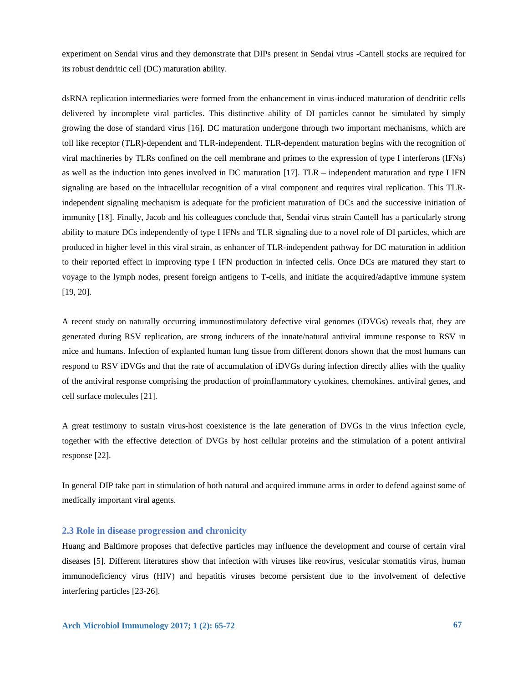experiment on Sendai virus and they demonstrate that DIPs present in Sendai virus -Cantell stocks are required for its robust dendritic cell (DC) maturation ability.

dsRNA replication intermediaries were formed from the enhancement in virus-induced maturation of dendritic cells delivered by incomplete viral particles. This distinctive ability of DI particles cannot be simulated by simply growing the dose of standard virus [16]. DC maturation undergone through two important mechanisms, which are toll like receptor (TLR)-dependent and TLR-independent. TLR-dependent maturation begins with the recognition of viral machineries by TLRs confined on the cell membrane and primes to the expression of type I interferons (IFNs) as well as the induction into genes involved in DC maturation [17]. TLR – independent maturation and type I IFN signaling are based on the intracellular recognition of a viral component and requires viral replication. This TLRindependent signaling mechanism is adequate for the proficient maturation of DCs and the successive initiation of immunity [18]. Finally, Jacob and his colleagues conclude that, Sendai virus strain Cantell has a particularly strong ability to mature DCs independently of type I IFNs and TLR signaling due to a novel role of DI particles, which are produced in higher level in this viral strain, as enhancer of TLR-independent pathway for DC maturation in addition to their reported effect in improving type I IFN production in infected cells. Once DCs are matured they start to voyage to the lymph nodes, present foreign antigens to T-cells, and initiate the acquired/adaptive immune system [19, 20].

A recent study on naturally occurring immunostimulatory defective viral genomes (iDVGs) reveals that, they are generated during RSV replication, are strong inducers of the innate/natural antiviral immune response to RSV in mice and humans. Infection of explanted human lung tissue from different donors shown that the most humans can respond to RSV iDVGs and that the rate of accumulation of iDVGs during infection directly allies with the quality of the antiviral response comprising the production of proinflammatory cytokines, chemokines, antiviral genes, and cell surface molecules [21].

A great testimony to sustain virus-host coexistence is the late generation of DVGs in the virus infection cycle, together with the effective detection of DVGs by host cellular proteins and the stimulation of a potent antiviral response [22].

In general DIP take part in stimulation of both natural and acquired immune arms in order to defend against some of medically important viral agents.

# **2.3 Role in disease progression and chronicity**

Huang and Baltimore proposes that defective particles may influence the development and course of certain viral diseases [5]. Different literatures show that infection with viruses like reovirus, vesicular stomatitis virus, human immunodeficiency virus (HIV) and hepatitis viruses become persistent due to the involvement of defective interfering particles [23-26].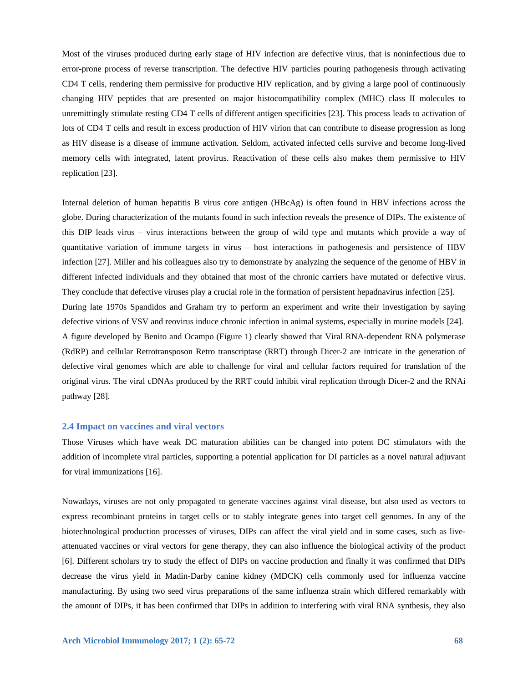Most of the viruses produced during early stage of HIV infection are defective virus, that is noninfectious due to error-prone process of reverse transcription. The defective HIV particles pouring pathogenesis through activating CD4 T cells, rendering them permissive for productive HIV replication, and by giving a large pool of continuously changing HIV peptides that are presented on major histocompatibility complex (MHC) class II molecules to unremittingly stimulate resting CD4 T cells of different antigen specificities [23]. This process leads to activation of lots of CD4 T cells and result in excess production of HIV virion that can contribute to disease progression as long as HIV disease is a disease of immune activation. Seldom, activated infected cells survive and become long-lived memory cells with integrated, latent provirus. Reactivation of these cells also makes them permissive to HIV replication [23].

Internal deletion of human hepatitis B virus core antigen (HBcAg) is often found in HBV infections across the globe. During characterization of the mutants found in such infection reveals the presence of DIPs. The existence of this DIP leads virus – virus interactions between the group of wild type and mutants which provide a way of quantitative variation of immune targets in virus – host interactions in pathogenesis and persistence of HBV infection [27]. Miller and his colleagues also try to demonstrate by analyzing the sequence of the genome of HBV in different infected individuals and they obtained that most of the chronic carriers have mutated or defective virus. They conclude that defective viruses play a crucial role in the formation of persistent hepadnavirus infection [25]. During late 1970s Spandidos and Graham try to perform an experiment and write their investigation by saying defective virions of VSV and reovirus induce chronic infection in animal systems, especially in murine models [24]. A figure developed by Benito and Ocampo (Figure 1) clearly showed that Viral RNA-dependent RNA polymerase (RdRP) and cellular Retrotransposon Retro transcriptase (RRT) through Dicer-2 are intricate in the generation of defective viral genomes which are able to challenge for viral and cellular factors required for translation of the original virus. The viral cDNAs produced by the RRT could inhibit viral replication through Dicer-2 and the RNAi pathway [28].

# **2.4 Impact on vaccines and viral vectors**

Those Viruses which have weak DC maturation abilities can be changed into potent DC stimulators with the addition of incomplete viral particles, supporting a potential application for DI particles as a novel natural adjuvant for viral immunizations [16].

Nowadays, viruses are not only propagated to generate vaccines against viral disease, but also used as vectors to express recombinant proteins in target cells or to stably integrate genes into target cell genomes. In any of the biotechnological production processes of viruses, DIPs can affect the viral yield and in some cases, such as liveattenuated vaccines or viral vectors for gene therapy, they can also influence the biological activity of the product [6]. Different scholars try to study the effect of DIPs on vaccine production and finally it was confirmed that DIPs decrease the virus yield in Madin-Darby canine kidney (MDCK) cells commonly used for influenza vaccine manufacturing. By using two seed virus preparations of the same influenza strain which differed remarkably with the amount of DIPs, it has been confirmed that DIPs in addition to interfering with viral RNA synthesis, they also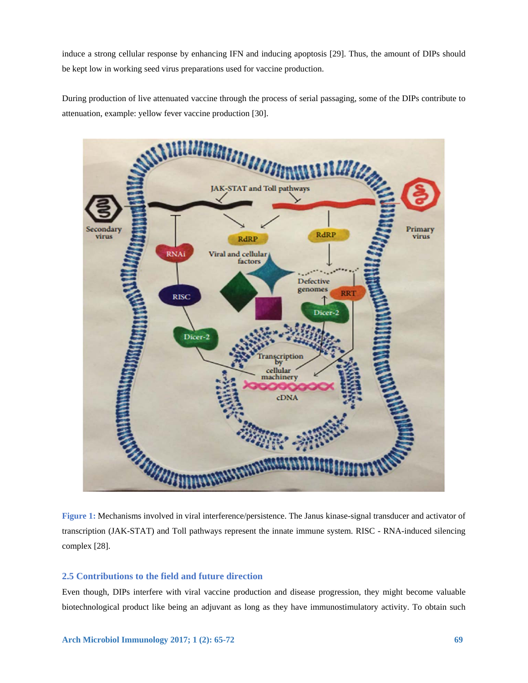induce a strong cellular response by enhancing IFN and inducing apoptosis [29]. Thus, the amount of DIPs should be kept low in working seed virus preparations used for vaccine production.

During production of live attenuated vaccine through the process of serial passaging, some of the DIPs contribute to attenuation, example: yellow fever vaccine production [30].



**Figure 1:** Mechanisms involved in viral interference/persistence. The Janus kinase-signal transducer and activator of transcription (JAK-STAT) and Toll pathways represent the innate immune system. RISC - RNA-induced silencing complex [28].

# **2.5 Contributions to the field and future direction**

Even though, DIPs interfere with viral vaccine production and disease progression, they might become valuable biotechnological product like being an adjuvant as long as they have immunostimulatory activity. To obtain such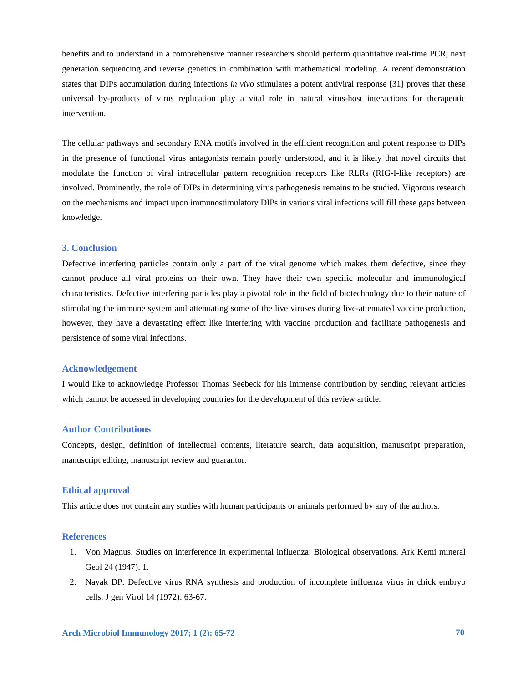benefits and to understand in a comprehensive manner researchers should perform quantitative real-time PCR, next generation sequencing and reverse genetics in combination with mathematical modeling. A recent demonstration states that DIPs accumulation during infections *in vivo* stimulates a potent antiviral response [31] proves that these universal by-products of virus replication play a vital role in natural virus-host interactions for therapeutic intervention.

The cellular pathways and secondary RNA motifs involved in the efficient recognition and potent response to DIPs in the presence of functional virus antagonists remain poorly understood, and it is likely that novel circuits that modulate the function of viral intracellular pattern recognition receptors like RLRs (RIG-I-like receptors) are involved. Prominently, the role of DIPs in determining virus pathogenesis remains to be studied. Vigorous research on the mechanisms and impact upon immunostimulatory DIPs in various viral infections will fill these gaps between knowledge.

#### **3. Conclusion**

Defective interfering particles contain only a part of the viral genome which makes them defective, since they cannot produce all viral proteins on their own. They have their own specific molecular and immunological characteristics. Defective interfering particles play a pivotal role in the field of biotechnology due to their nature of stimulating the immune system and attenuating some of the live viruses during live-attenuated vaccine production, however, they have a devastating effect like interfering with vaccine production and facilitate pathogenesis and persistence of some viral infections.

#### **Acknowledgement**

I would like to acknowledge Professor Thomas Seebeck for his immense contribution by sending relevant articles which cannot be accessed in developing countries for the development of this review article.

#### **Author Contributions**

Concepts, design, definition of intellectual contents, literature search, data acquisition, manuscript preparation, manuscript editing, manuscript review and guarantor.

# **Ethical approval**

This article does not contain any studies with human participants or animals performed by any of the authors.

#### **References**

- 1. Von Magnus. Studies on interference in experimental influenza: Biological observations. Ark Kemi mineral Geol 24 (1947): 1.
- 2. Nayak DP. Defective virus RNA synthesis and production of incomplete influenza virus in chick embryo cells. J gen Virol 14 (1972): 63-67.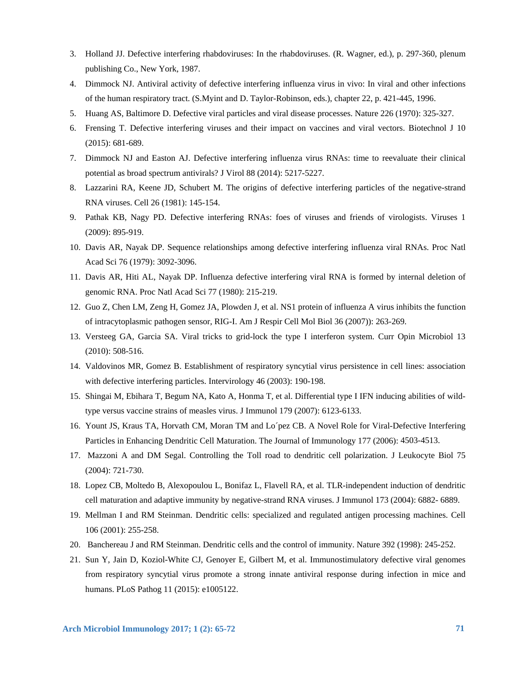- 3. Holland JJ. Defective interfering rhabdoviruses: In the rhabdoviruses. (R. Wagner, ed.), p. 297-360, plenum publishing Co., New York, 1987.
- 4. Dimmock NJ. Antiviral activity of defective interfering influenza virus in vivo: In viral and other infections of the human respiratory tract. (S.Myint and D. Taylor-Robinson, eds.), chapter 22, p. 421-445, 1996.
- 5. Huang AS, Baltimore D. Defective viral particles and viral disease processes. Nature 226 (1970): 325-327.
- 6. Frensing T. Defective interfering viruses and their impact on vaccines and viral vectors. Biotechnol J 10 (2015): 681-689.
- 7. Dimmock NJ and Easton AJ. Defective interfering influenza virus RNAs: time to reevaluate their clinical potential as broad spectrum antivirals? J Virol 88 (2014): 5217-5227.
- 8. Lazzarini RA, Keene JD, Schubert M. The origins of defective interfering particles of the negative-strand RNA viruses. Cell 26 (1981): 145-154.
- 9. Pathak KB, Nagy PD. Defective interfering RNAs: foes of viruses and friends of virologists. Viruses 1 (2009): 895-919.
- 10. Davis AR, Nayak DP. Sequence relationships among defective interfering influenza viral RNAs. Proc Natl Acad Sci 76 (1979): 3092-3096.
- 11. Davis AR, Hiti AL, Nayak DP. Influenza defective interfering viral RNA is formed by internal deletion of genomic RNA. Proc Natl Acad Sci 77 (1980): 215-219.
- 12. Guo Z, Chen LM, Zeng H, Gomez JA, Plowden J, et al. NS1 protein of influenza A virus inhibits the function of intracytoplasmic pathogen sensor, RIG-I. Am J Respir Cell Mol Biol 36 (2007)): 263-269.
- 13. Versteeg GA, Garcia SA. Viral tricks to grid-lock the type I interferon system. Curr Opin Microbiol 13 (2010): 508-516.
- 14. Valdovinos MR, Gomez B. Establishment of respiratory syncytial virus persistence in cell lines: association with defective interfering particles. Intervirology 46 (2003): 190-198.
- 15. Shingai M, Ebihara T, Begum NA, Kato A, Honma T, et al. Differential type I IFN inducing abilities of wildtype versus vaccine strains of measles virus. J Immunol 179 (2007): 6123-6133.
- 16. Yount JS, Kraus TA, Horvath CM, Moran TM and Lo´pez CB. A Novel Role for Viral-Defective Interfering Particles in Enhancing Dendritic Cell Maturation. The Journal of Immunology 177 (2006): 4503-4513.
- 17. Mazzoni A and DM Segal. Controlling the Toll road to dendritic cell polarization. J Leukocyte Biol 75 (2004): 721-730.
- 18. Lopez CB, Moltedo B, Alexopoulou L, Bonifaz L, Flavell RA, et al. TLR-independent induction of dendritic cell maturation and adaptive immunity by negative-strand RNA viruses. J Immunol 173 (2004): 6882- 6889.
- 19. Mellman I and RM Steinman. Dendritic cells: specialized and regulated antigen processing machines. Cell 106 (2001): 255-258.
- 20. Banchereau J and RM Steinman. Dendritic cells and the control of immunity. Nature 392 (1998): 245-252.
- 21. Sun Y, Jain D, Koziol-White CJ, Genoyer E, Gilbert M, et al. Immunostimulatory defective viral genomes from respiratory syncytial virus promote a strong innate antiviral response during infection in mice and humans. PLoS Pathog 11 (2015): e1005122.